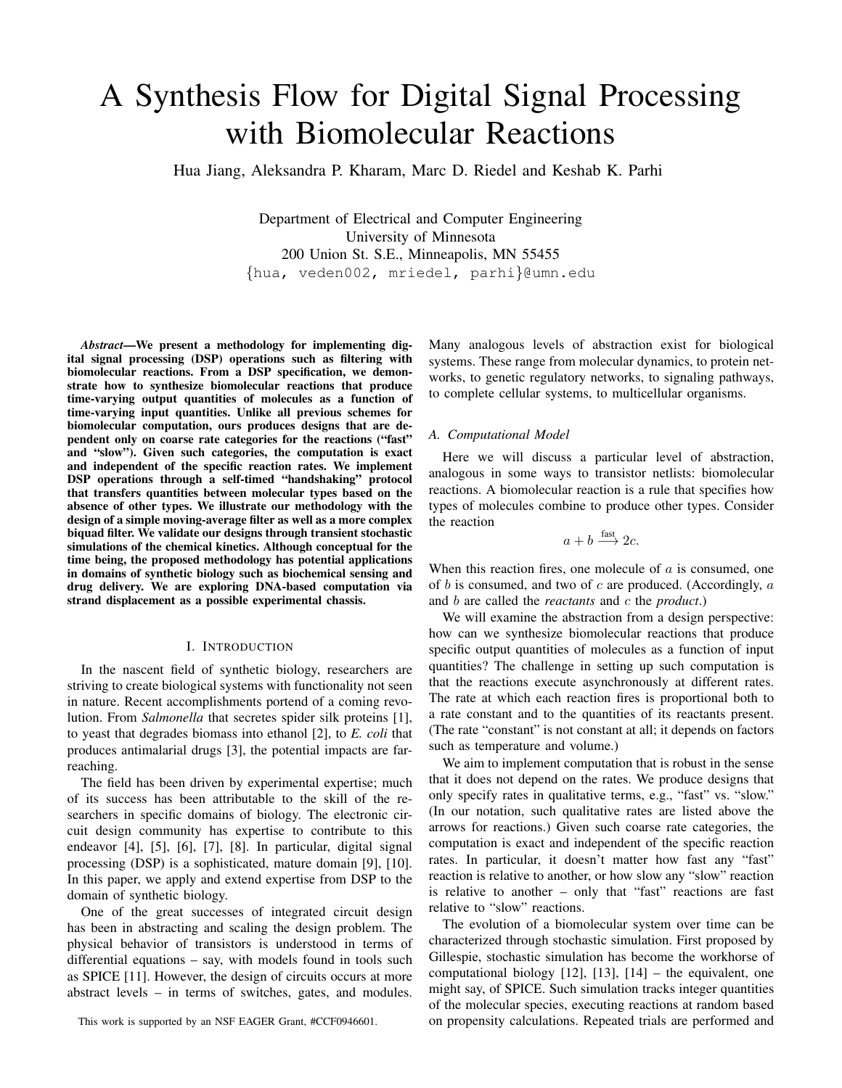# A Synthesis Flow for Digital Signal Processing with Biomolecular Reactions

Hua Jiang, Aleksandra P. Kharam, Marc D. Riedel and Keshab K. Parhi

Department of Electrical and Computer Engineering University of Minnesota 200 Union St. S.E., Minneapolis, MN 55455 {hua, veden002, mriedel, parhi}@umn.edu

*Abstract*—We present a methodology for implementing digital signal processing (DSP) operations such as filtering with biomolecular reactions. From a DSP specification, we demonstrate how to synthesize biomolecular reactions that produce time-varying output quantities of molecules as a function of time-varying input quantities. Unlike all previous schemes for biomolecular computation, ours produces designs that are dependent only on coarse rate categories for the reactions ("fast" and "slow"). Given such categories, the computation is exact and independent of the specific reaction rates. We implement DSP operations through a self-timed "handshaking" protocol that transfers quantities between molecular types based on the absence of other types. We illustrate our methodology with the design of a simple moving-average filter as well as a more complex biquad filter. We validate our designs through transient stochastic simulations of the chemical kinetics. Although conceptual for the time being, the proposed methodology has potential applications in domains of synthetic biology such as biochemical sensing and drug delivery. We are exploring DNA-based computation via strand displacement as a possible experimental chassis.

#### I. INTRODUCTION

In the nascent field of synthetic biology, researchers are striving to create biological systems with functionality not seen in nature. Recent accomplishments portend of a coming revolution. From *Salmonella* that secretes spider silk proteins [1], to yeast that degrades biomass into ethanol [2], to *E. coli* that produces antimalarial drugs [3], the potential impacts are farreaching.

The field has been driven by experimental expertise; much of its success has been attributable to the skill of the researchers in specific domains of biology. The electronic circuit design community has expertise to contribute to this endeavor [4], [5], [6], [7], [8]. In particular, digital signal processing (DSP) is a sophisticated, mature domain [9], [10]. In this paper, we apply and extend expertise from DSP to the domain of synthetic biology.

One of the great successes of integrated circuit design has been in abstracting and scaling the design problem. The physical behavior of transistors is understood in terms of differential equations – say, with models found in tools such as SPICE [11]. However, the design of circuits occurs at more abstract levels – in terms of switches, gates, and modules.

This work is supported by an NSF EAGER Grant, #CCF0946601.

Many analogous levels of abstraction exist for biological systems. These range from molecular dynamics, to protein networks, to genetic regulatory networks, to signaling pathways, to complete cellular systems, to multicellular organisms.

#### *A. Computational Model*

Here we will discuss a particular level of abstraction, analogous in some ways to transistor netlists: biomolecular reactions. A biomolecular reaction is a rule that specifies how types of molecules combine to produce other types. Consider the reaction

$$
a + b \xrightarrow{\text{fast}} 2c.
$$

When this reaction fires, one molecule of  $a$  is consumed, one of  $b$  is consumed, and two of  $c$  are produced. (Accordingly,  $a$ and b are called the *reactants* and c the *product*.)

We will examine the abstraction from a design perspective: how can we synthesize biomolecular reactions that produce specific output quantities of molecules as a function of input quantities? The challenge in setting up such computation is that the reactions execute asynchronously at different rates. The rate at which each reaction fires is proportional both to a rate constant and to the quantities of its reactants present. (The rate "constant" is not constant at all; it depends on factors such as temperature and volume.)

We aim to implement computation that is robust in the sense that it does not depend on the rates. We produce designs that only specify rates in qualitative terms, e.g., "fast" vs. "slow." (In our notation, such qualitative rates are listed above the arrows for reactions.) Given such coarse rate categories, the computation is exact and independent of the specific reaction rates. In particular, it doesn't matter how fast any "fast" reaction is relative to another, or how slow any "slow" reaction is relative to another – only that "fast" reactions are fast relative to "slow" reactions.

The evolution of a biomolecular system over time can be characterized through stochastic simulation. First proposed by Gillespie, stochastic simulation has become the workhorse of computational biology [12], [13], [14] – the equivalent, one might say, of SPICE. Such simulation tracks integer quantities of the molecular species, executing reactions at random based on propensity calculations. Repeated trials are performed and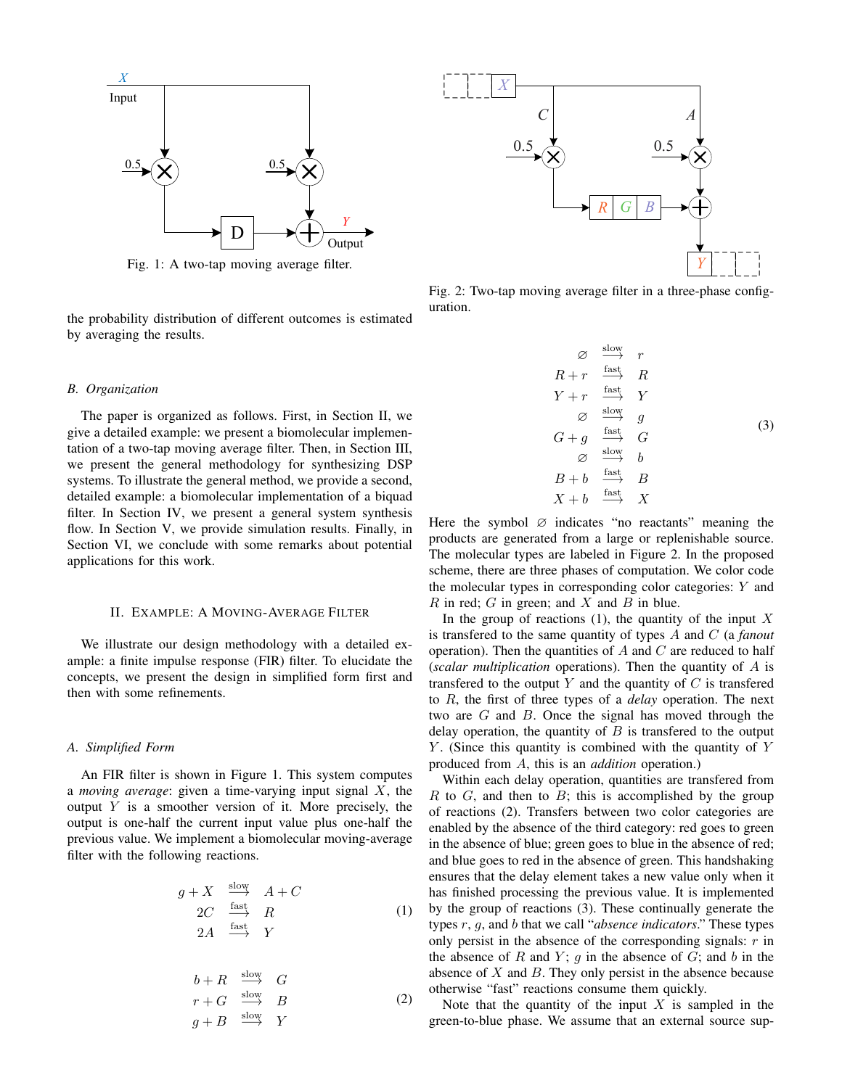

Fig. 1: A two-tap moving average filter.

the probability distribution of different outcomes is estimated by averaging the results.

## *B. Organization*

The paper is organized as follows. First, in Section II, we give a detailed example: we present a biomolecular implementation of a two-tap moving average filter. Then, in Section III, we present the general methodology for synthesizing DSP systems. To illustrate the general method, we provide a second, detailed example: a biomolecular implementation of a biquad filter. In Section IV, we present a general system synthesis flow. In Section V, we provide simulation results. Finally, in Section VI, we conclude with some remarks about potential applications for this work.

## II. EXAMPLE: A MOVING-AVERAGE FILTER

We illustrate our design methodology with a detailed example: a finite impulse response (FIR) filter. To elucidate the concepts, we present the design in simplified form first and then with some refinements.

## *A. Simplified Form*

An FIR filter is shown in Figure 1. This system computes a *moving average*: given a time-varying input signal X, the output  $Y$  is a smoother version of it. More precisely, the output is one-half the current input value plus one-half the previous value. We implement a biomolecular moving-average filter with the following reactions.

$$
g + X \xrightarrow{slow} A + C
$$
  
\n
$$
2C \xrightarrow{fast} R
$$
  
\n
$$
2A \xrightarrow{fast} Y
$$
\n(1)

$$
b + R \xrightarrow{\text{slow}} G
$$
  
\n
$$
r + G \xrightarrow{\text{slow}} B
$$
  
\n
$$
g + B \xrightarrow{\text{slow}} Y
$$
\n(2)



Fig. 2: Two-tap moving average filter in a three-phase configuration.

$$
\begin{array}{ccc}\n\varnothing & \xrightarrow{\text{slow}} & r \\
R+r & \xrightarrow{\text{fast}} & R \\
Y+r & \xrightarrow{\text{fast}} & Y \\
\varnothing & \xrightarrow{\text{slow}} & g \\
G+g & \xrightarrow{\text{fast}} & G \\
\varnothing & \xrightarrow{\text{slow}} & b \\
B+b & \xrightarrow{\text{fast}} & B \\
X+b & \xrightarrow{\text{fast}} & X\n\end{array} \tag{3}
$$

Here the symbol  $\varnothing$  indicates "no reactants" meaning the products are generated from a large or replenishable source. The molecular types are labeled in Figure 2. In the proposed scheme, there are three phases of computation. We color code the molecular types in corresponding color categories: Y and  $R$  in red;  $G$  in green; and  $X$  and  $B$  in blue.

In the group of reactions  $(1)$ , the quantity of the input X is transfered to the same quantity of types A and C (a *fanout* operation). Then the quantities of  $A$  and  $C$  are reduced to half (*scalar multiplication* operations). Then the quantity of A is transferred to the output  $Y$  and the quantity of  $C$  is transferred to R, the first of three types of a *delay* operation. The next two are G and B. Once the signal has moved through the delay operation, the quantity of  $B$  is transfered to the output  $Y$ . (Since this quantity is combined with the quantity of  $Y$ produced from A, this is an *addition* operation.)

Within each delay operation, quantities are transfered from  $R$  to  $G$ , and then to  $B$ ; this is accomplished by the group of reactions (2). Transfers between two color categories are enabled by the absence of the third category: red goes to green in the absence of blue; green goes to blue in the absence of red; and blue goes to red in the absence of green. This handshaking ensures that the delay element takes a new value only when it has finished processing the previous value. It is implemented by the group of reactions (3). These continually generate the types r, g, and b that we call "*absence indicators*." These types only persist in the absence of the corresponding signals:  $r$  in the absence of R and Y;  $q$  in the absence of  $G$ ; and  $b$  in the absence of  $X$  and  $B$ . They only persist in the absence because otherwise "fast" reactions consume them quickly.

Note that the quantity of the input  $X$  is sampled in the green-to-blue phase. We assume that an external source sup-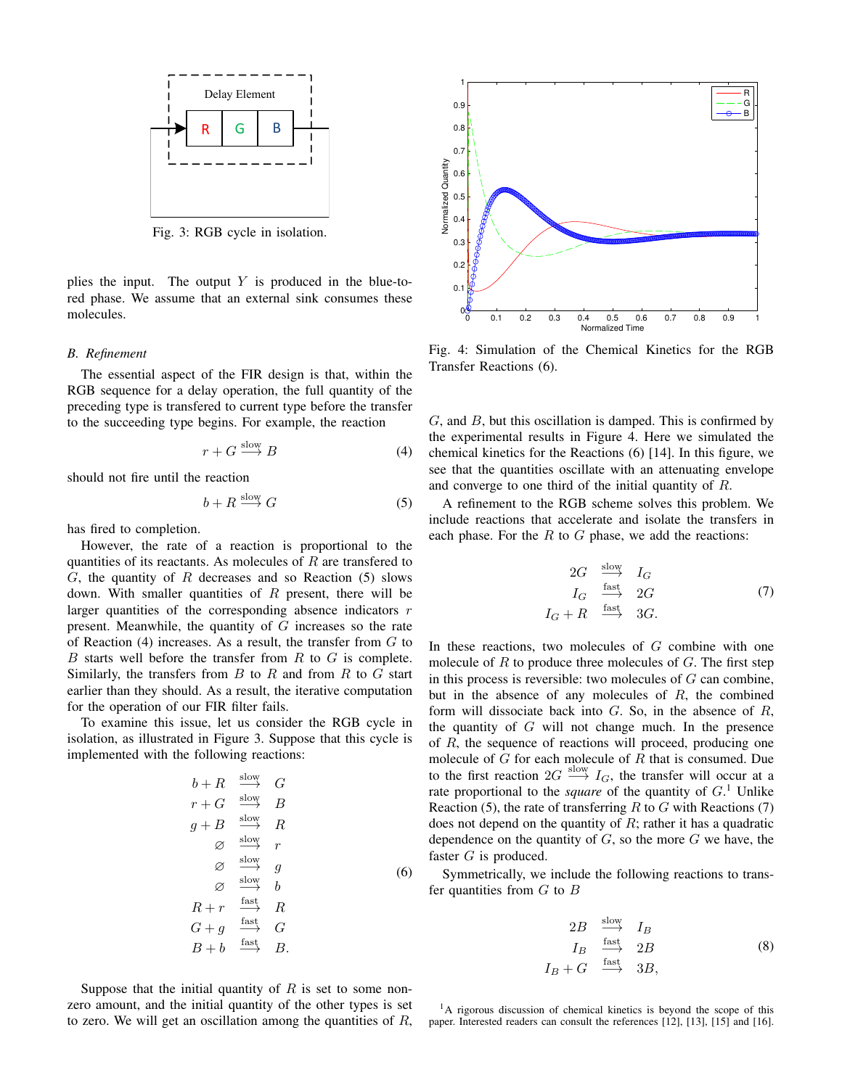

Fig. 3: RGB cycle in isolation.

plies the input. The output  $Y$  is produced in the blue-tored phase. We assume that an external sink consumes these molecules.

## *B. Refinement*

The essential aspect of the FIR design is that, within the RGB sequence for a delay operation, the full quantity of the preceding type is transfered to current type before the transfer to the succeeding type begins. For example, the reaction

$$
r + G \xrightarrow{\text{slow}} B \tag{4}
$$

should not fire until the reaction

$$
b + R \xrightarrow{\text{slow}} G \tag{5}
$$

has fired to completion.

However, the rate of a reaction is proportional to the quantities of its reactants. As molecules of  $R$  are transfered to  $G$ , the quantity of  $R$  decreases and so Reaction (5) slows down. With smaller quantities of  $R$  present, there will be larger quantities of the corresponding absence indicators  $r$ present. Meanwhile, the quantity of  $G$  increases so the rate of Reaction  $(4)$  increases. As a result, the transfer from  $G$  to  $B$  starts well before the transfer from  $R$  to  $G$  is complete. Similarly, the transfers from  $B$  to  $R$  and from  $R$  to  $G$  start earlier than they should. As a result, the iterative computation for the operation of our FIR filter fails.

To examine this issue, let us consider the RGB cycle in isolation, as illustrated in Figure 3. Suppose that this cycle is implemented with the following reactions:

$$
b + R \xrightarrow{\text{slow}} G
$$
  
\n
$$
r + G \xrightarrow{\text{slow}} B
$$
  
\n
$$
g + B \xrightarrow{\text{slow}} R
$$
  
\n
$$
\varnothing \xrightarrow{\text{slow}} r
$$
  
\n
$$
\varnothing \xrightarrow{\text{slow}} g
$$
  
\n
$$
\varnothing \xrightarrow{\text{slow}} b
$$
  
\n
$$
R + r \xrightarrow{\text{fast}} R
$$
  
\n
$$
G + g \xrightarrow{\text{fast}} G
$$
  
\n
$$
B + b \xrightarrow{\text{fast}} B.
$$
  
\n(6)

1 R 0.9 G B 0.8  $0.7$ Normalized Quantity Normalized Quantity 0.6 0.5 0.4 0.3 0.2 0.1  $0<sub>o</sub><sup>o</sup>$ 0 0.1 0.2 0.3 0.4 0.5 0.6 0.7 0.8 0.9 1 Normalized Time

Fig. 4: Simulation of the Chemical Kinetics for the RGB Transfer Reactions (6).

 $G$ , and  $B$ , but this oscillation is damped. This is confirmed by the experimental results in Figure 4. Here we simulated the chemical kinetics for the Reactions (6) [14]. In this figure, we see that the quantities oscillate with an attenuating envelope and converge to one third of the initial quantity of R.

A refinement to the RGB scheme solves this problem. We include reactions that accelerate and isolate the transfers in each phase. For the  $R$  to  $G$  phase, we add the reactions:

$$
2G \xrightarrow{\text{slow}} I_G
$$
  
\n
$$
I_G \xrightarrow{\text{fast}} 2G
$$
 (7)  
\n
$$
I_G + R \xrightarrow{\text{fast}} 3G.
$$

In these reactions, two molecules of  $G$  combine with one molecule of  $R$  to produce three molecules of  $G$ . The first step in this process is reversible: two molecules of  $G$  can combine, but in the absence of any molecules of  $R$ , the combined form will dissociate back into  $G$ . So, in the absence of  $R$ , the quantity of  $G$  will not change much. In the presence of R, the sequence of reactions will proceed, producing one molecule of  $G$  for each molecule of  $R$  that is consumed. Due to the first reaction  $2G \stackrel{\text{slow}}{\longrightarrow} I_G$ , the transfer will occur at a rate proportional to the *square* of the quantity of  $G<sup>1</sup>$  Unlike Reaction (5), the rate of transferring  $R$  to  $G$  with Reactions (7) does not depend on the quantity of  $R$ ; rather it has a quadratic dependence on the quantity of  $G$ , so the more  $G$  we have, the faster G is produced.

Symmetrically, we include the following reactions to transfer quantities from  $G$  to  $B$ 

$$
2B \xrightarrow{\text{slow}} I_B
$$
  
\n
$$
I_B \xrightarrow{\text{fast}} 2B
$$
  
\n
$$
I_B + G \xrightarrow{\text{fast}} 3B,
$$
\n(8)

Suppose that the initial quantity of  $R$  is set to some nonzero amount, and the initial quantity of the other types is set to zero. We will get an oscillation among the quantities of  $R$ ,

<sup>1</sup>A rigorous discussion of chemical kinetics is beyond the scope of this paper. Interested readers can consult the references [12], [13], [15] and [16].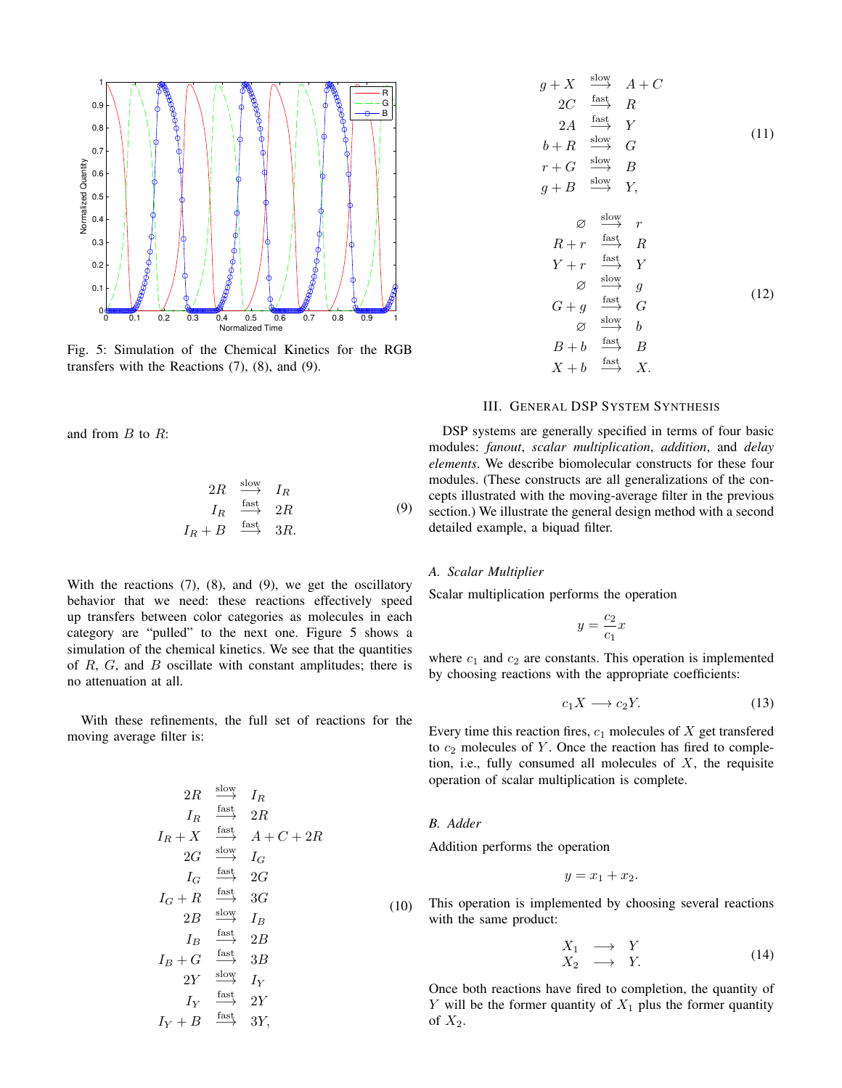

Fig. 5: Simulation of the Chemical Kinetics for the RGB transfers with the Reactions (7), (8), and (9).

and from  $B$  to  $R$ :

$$
2R \xrightarrow{\text{slow}} I_R
$$
  
\n
$$
I_R \xrightarrow{\text{fast}} 2R
$$
  
\n
$$
I_R + B \xrightarrow{\text{fast}} 3R.
$$
\n(9)

With the reactions  $(7)$ ,  $(8)$ , and  $(9)$ , we get the oscillatory behavior that we need: these reactions effectively speed up transfers between color categories as molecules in each category are "pulled" to the next one. Figure 5 shows a simulation of the chemical kinetics. We see that the quantities of  $R$ ,  $G$ , and  $B$  oscillate with constant amplitudes; there is no attenuation at all.

With these refinements, the full set of reactions for the moving average filter is:

$$
2R \xrightarrow{\text{slow}} I_R
$$
\n
$$
I_R \xrightarrow{\text{fast}} 2R
$$
\n
$$
I_R + X \xrightarrow{\text{fast}} A + C + 2R
$$
\n
$$
2G \xrightarrow{\text{slow}} I_G
$$
\n
$$
I_G \xrightarrow{\text{fast}} 2G
$$
\n
$$
I_G + R \xrightarrow{\text{fast}} 3G
$$
\n
$$
2B \xrightarrow{\text{slow}} I_B
$$
\n
$$
I_B \xrightarrow{\text{fast}} 2B
$$
\n
$$
I_B + G \xrightarrow{\text{fast}} 3B
$$
\n
$$
2Y \xrightarrow{\text{slow}} I_Y
$$
\n
$$
I_Y \xrightarrow{\text{fast}} 2Y
$$
\n
$$
I_Y + B \xrightarrow{\text{fast}} 3Y,
$$

$$
g + X \xrightarrow{\text{slow}} A + C
$$
  
\n
$$
2C \xrightarrow{\text{fast}} R
$$
  
\n
$$
2A \xrightarrow{\text{fast}} Y
$$
  
\n
$$
b + R \xrightarrow{\text{slow}} G
$$
  
\n
$$
r + G \xrightarrow{\text{slow}} B
$$
  
\n
$$
g + B \xrightarrow{\text{slow}} Y,
$$
  
\n
$$
\emptyset \xrightarrow{\text{slow}} r
$$
  
\n
$$
R + r \xrightarrow{\text{fast}} R
$$
  
\n
$$
Y + r \xrightarrow{\text{fast}} Y
$$
  
\n
$$
\emptyset \xrightarrow{\text{slow}} g
$$
  
\n
$$
G + g \xrightarrow{\text{fast}} G
$$
  
\n
$$
\emptyset \xrightarrow{\text{slow}} b
$$
  
\n
$$
B + b \xrightarrow{\text{fast}} B
$$
  
\n
$$
X + b \xrightarrow{\text{fast}} X.
$$
  
\n(12)

## III. GENERAL DSP SYSTEM SYNTHESIS

DSP systems are generally specified in terms of four basic modules: *fanout*, *scalar multiplication*, *addition*, and *delay elements*. We describe biomolecular constructs for these four modules. (These constructs are all generalizations of the concepts illustrated with the moving-average filter in the previous section.) We illustrate the general design method with a second detailed example, a biquad filter.

## *A. Scalar Multiplier*

Scalar multiplication performs the operation

$$
y = \frac{c_2}{c_1}x
$$

where  $c_1$  and  $c_2$  are constants. This operation is implemented by choosing reactions with the appropriate coefficients:

$$
c_1 X \longrightarrow c_2 Y. \tag{13}
$$

Every time this reaction fires,  $c_1$  molecules of  $X$  get transfered to  $c_2$  molecules of Y. Once the reaction has fired to completion, i.e., fully consumed all molecules of  $X$ , the requisite operation of scalar multiplication is complete.

## *B. Adder*

Addition performs the operation

$$
y = x_1 + x_2.
$$

This operation is implemented by choosing several reactions with the same product:

$$
\begin{array}{rcl}\nX_1 & \longrightarrow & Y \\
X_2 & \longrightarrow & Y.\n\end{array} \tag{14}
$$

Once both reactions have fired to completion, the quantity of Y will be the former quantity of  $X_1$  plus the former quantity of  $X_2$ .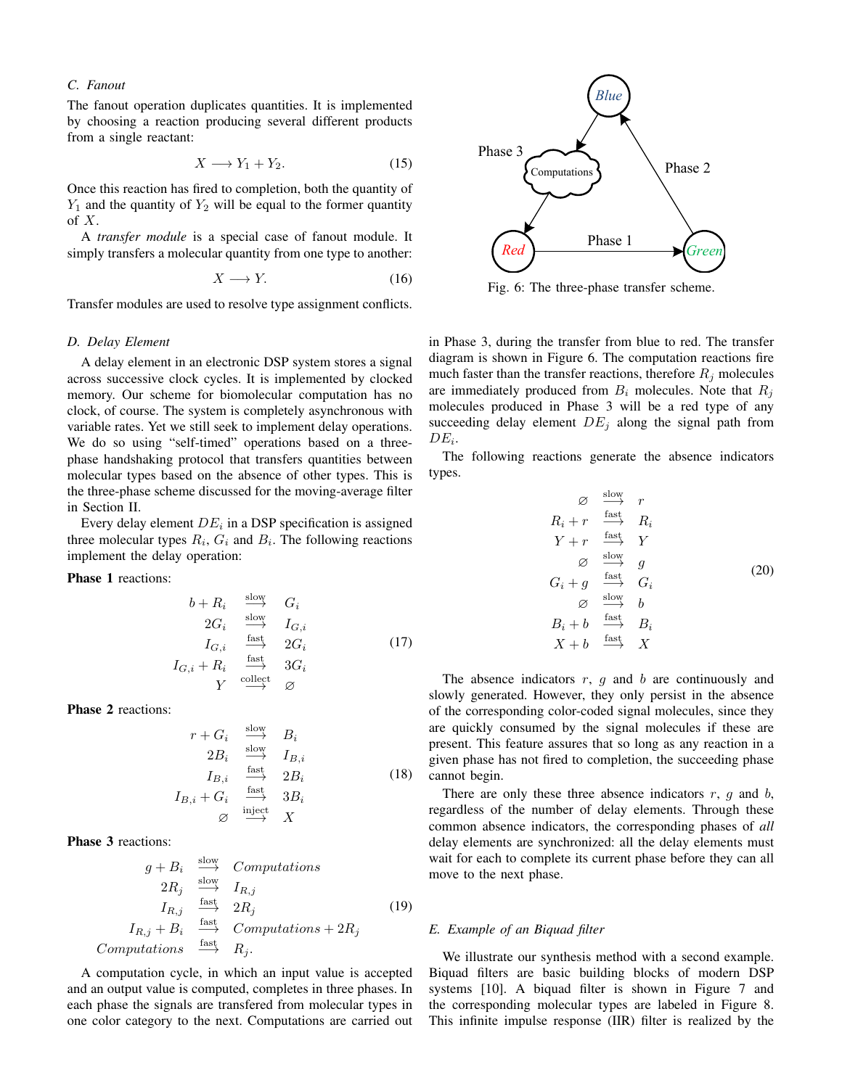## *C. Fanout*

The fanout operation duplicates quantities. It is implemented by choosing a reaction producing several different products from a single reactant:

$$
X \longrightarrow Y_1 + Y_2. \tag{15}
$$

Once this reaction has fired to completion, both the quantity of  $Y_1$  and the quantity of  $Y_2$  will be equal to the former quantity of  $X$ .

A *transfer module* is a special case of fanout module. It simply transfers a molecular quantity from one type to another:

$$
X \longrightarrow Y. \tag{16}
$$

Transfer modules are used to resolve type assignment conflicts.

## *D. Delay Element*

A delay element in an electronic DSP system stores a signal across successive clock cycles. It is implemented by clocked memory. Our scheme for biomolecular computation has no clock, of course. The system is completely asynchronous with variable rates. Yet we still seek to implement delay operations. We do so using "self-timed" operations based on a threephase handshaking protocol that transfers quantities between molecular types based on the absence of other types. This is the three-phase scheme discussed for the moving-average filter in Section II.

Every delay element  $DE_i$  in a DSP specification is assigned three molecular types  $R_i$ ,  $G_i$  and  $B_i$ . The following reactions implement the delay operation:

Phase 1 reactions:

$$
b + R_i \xrightarrow{\text{slow}} G_i
$$
  
\n
$$
2G_i \xrightarrow{\text{slow}} I_{G,i}
$$
  
\n
$$
I_{G,i} \xrightarrow{\text{fast}} 2G_i
$$
  
\n
$$
I_{G,i} + R_i \xrightarrow{\text{fast}} 3G_i
$$
  
\n
$$
Y \xrightarrow{\text{collect}} \varnothing
$$

Phase 2 reactions:

$$
r + G_i \xrightarrow{\text{slow}} B_i
$$
  
\n
$$
2B_i \xrightarrow{\text{slow}} I_{B,i}
$$
  
\n
$$
I_{B,i} \xrightarrow{\text{fast}} 2B_i
$$
  
\n
$$
I_{B,i} + G_i \xrightarrow{\text{fast}} 3B_i
$$
  
\n
$$
\varnothing \xrightarrow{\text{inject}} X
$$
  
\n(18)

Phase 3 reactions:

$$
g + B_i \xrightarrow{\text{slow}} \text{Computations}
$$
  
\n
$$
2R_j \xrightarrow{\text{slow}} I_{R,j}
$$
  
\n
$$
I_{R,j} \xrightarrow{\text{fast}} 2R_j
$$
  
\n
$$
I_{R,j} + B_i \xrightarrow{\text{fast}} \text{Computations} + 2R_j
$$
  
\nComputations  $\xrightarrow{\text{fast}} R_j$ . (19)

A computation cycle, in which an input value is accepted and an output value is computed, completes in three phases. In each phase the signals are transfered from molecular types in one color category to the next. Computations are carried out



Fig. 6: The three-phase transfer scheme.

in Phase 3, during the transfer from blue to red. The transfer diagram is shown in Figure 6. The computation reactions fire much faster than the transfer reactions, therefore  $R_i$  molecules are immediately produced from  $B_i$  molecules. Note that  $R_i$ molecules produced in Phase 3 will be a red type of any succeeding delay element  $DE_j$  along the signal path from  $DE_i$ .

The following reactions generate the absence indicators types.

$$
\begin{array}{ccc}\n\varnothing & \xrightarrow{\text{slow}} & r \\
R_i + r & \xrightarrow{\text{fast}} & R_i \\
Y + r & \xrightarrow{\text{fast}} & Y \\
\varnothing & \xrightarrow{\text{slow}} & g \\
G_i + g & \xrightarrow{\text{fast}} & G_i \\
\varnothing & \xrightarrow{\text{slow}} & b \\
B_i + b & \xrightarrow{\text{fast}} & B_i \\
X + b & \xrightarrow{\text{fast}} & X\n\end{array} \tag{20}
$$

The absence indicators  $r$ ,  $g$  and  $b$  are continuously and slowly generated. However, they only persist in the absence of the corresponding color-coded signal molecules, since they are quickly consumed by the signal molecules if these are present. This feature assures that so long as any reaction in a given phase has not fired to completion, the succeeding phase cannot begin.

There are only these three absence indicators  $r$ ,  $g$  and  $b$ , regardless of the number of delay elements. Through these common absence indicators, the corresponding phases of *all* delay elements are synchronized: all the delay elements must wait for each to complete its current phase before they can all move to the next phase.

## *E. Example of an Biquad filter*

We illustrate our synthesis method with a second example. Biquad filters are basic building blocks of modern DSP systems [10]. A biquad filter is shown in Figure 7 and the corresponding molecular types are labeled in Figure 8. This infinite impulse response (IIR) filter is realized by the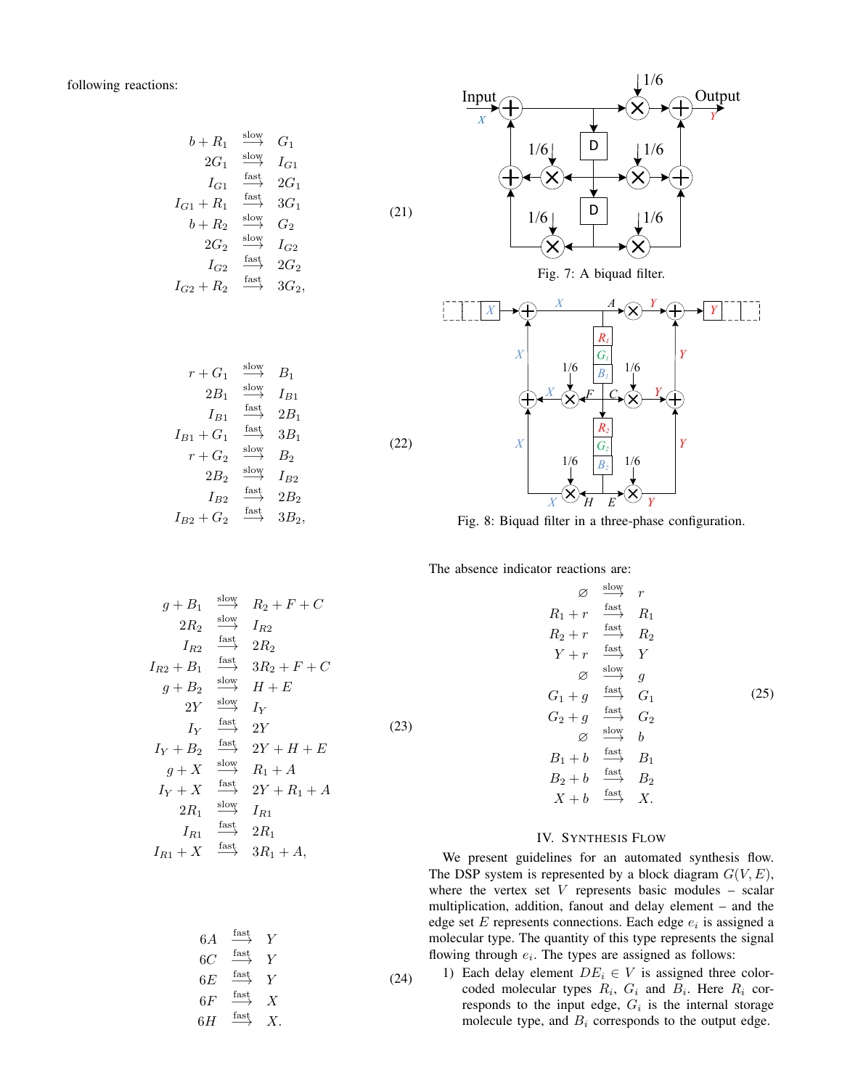following reactions:

$$
b + R_1 \xrightarrow{\text{slow}} G_1
$$
  
\n
$$
2G_1 \xrightarrow{\text{slow}} I_{G1}
$$
  
\n
$$
I_{G1} \xrightarrow{\text{fast}} 2G_1
$$
  
\n
$$
I_{G1} + R_1 \xrightarrow{\text{fast}} 3G_1
$$
  
\n
$$
b + R_2 \xrightarrow{\text{slow}} G_2
$$
  
\n
$$
2G_2 \xrightarrow{\text{slow}} I_{G2}
$$
  
\n
$$
I_{G2} \xrightarrow{\text{fast}} 2G_2
$$
  
\n
$$
I_{G2} + R_2 \xrightarrow{\text{fast}} 3G_2,
$$
  
\n(21)

 $r + G_1$ 

 $I_{B1} + G_1$ 

 $I_{B2} + G_2$ 

 $r + G_2$ 

 $2B<sub>2</sub>$ 

 $\mathcal{I}_{B2}$ 

 $2B_1$ 

 $I_{B1}$ 

slow

slow

fast

fast

slow

 $\xrightarrow{\text{fast}}$ 

fast

 $\overset{\text{slow}}{\longrightarrow} B_2$ 

 $B_1$ 

 $I_{B1}$ 

 $2B_1$ 

 $3B_1$ 

(22)

 $I_{B2}$ 

 $2B<sub>2</sub>$ 

 $3B_2$ 



Fig. 8: Biquad filter in a three-phase configuration.

The absence indicator reactions are:

$$
g + B_1 \xrightarrow{\text{slow}} R_2 + F + C
$$
  
\n
$$
2R_2 \xrightarrow{\text{fast}} I_{R2}
$$
  
\n
$$
I_{R2} \xrightarrow{\text{fast}} 2R_2
$$
  
\n
$$
I_{R2} + B_1 \xrightarrow{\text{fast}} 3R_2 + F + C
$$
  
\n
$$
g + B_2 \xrightarrow{\text{slow}} H + E
$$
  
\n
$$
2Y \xrightarrow{\text{fast}} I_Y
$$
  
\n
$$
I_Y + B_2 \xrightarrow{\text{fast}} 2Y + H + E
$$
  
\n
$$
g + X \xrightarrow{\text{slow}} R_1 + A
$$
  
\n
$$
I_Y + X \xrightarrow{\text{fast}} 2Y + R_1 + A
$$
  
\n
$$
2R_1 \xrightarrow{\text{slow}} I_{R1}
$$
  
\n
$$
I_{R1} \xrightarrow{\text{fast}} 2R_1
$$
  
\n
$$
I_{R1} + X \xrightarrow{\text{fast}} 3R_1 + A,
$$

$$
\begin{array}{rcl}\n\varnothing & \xrightarrow{\text{slow}} & r \\
R_1 + r & \xrightarrow{\text{fast}} & R_1 \\
R_2 + r & \xrightarrow{\text{fast}} & R_2 \\
Y + r & \xrightarrow{\text{fast}} & Y \\
\varnothing & \xrightarrow{\text{slow}} & g \\
G_1 + g & \xrightarrow{\text{fast}} & G_1 \\
G_2 + g & \xrightarrow{\text{fast}} & G_2 \\
\varnothing & \xrightarrow{\text{slow}} & b \\
B_1 + b & \xrightarrow{\text{fast}} & B_1 \\
B_2 + b & \xrightarrow{\text{fast}} & B_2 \\
X + b & \xrightarrow{\text{fast}} & X.\n\end{array}
$$
\n
$$
(25)
$$

## IV. SYNTHESIS FLOW

We present guidelines for an automated synthesis flow. The DSP system is represented by a block diagram  $G(V, E)$ , where the vertex set  $V$  represents basic modules – scalar multiplication, addition, fanout and delay element – and the edge set  $E$  represents connections. Each edge  $e_i$  is assigned a molecular type. The quantity of this type represents the signal flowing through  $e_i$ . The types are assigned as follows:

1) Each delay element  $DE_i \in V$  is assigned three colorcoded molecular types  $R_i$ ,  $G_i$  and  $B_i$ . Here  $R_i$  corresponds to the input edge,  $G_i$  is the internal storage molecule type, and  $B_i$  corresponds to the output edge.

$$
6A \xrightarrow{\text{fast}} Y
$$
  
\n
$$
6C \xrightarrow{\text{fast}} Y
$$
  
\n
$$
6E \xrightarrow{\text{fast}} Y
$$
  
\n
$$
6F \xrightarrow{\text{fast}} X
$$
  
\n
$$
6H \xrightarrow{\text{fast}} X
$$
  
\n(24)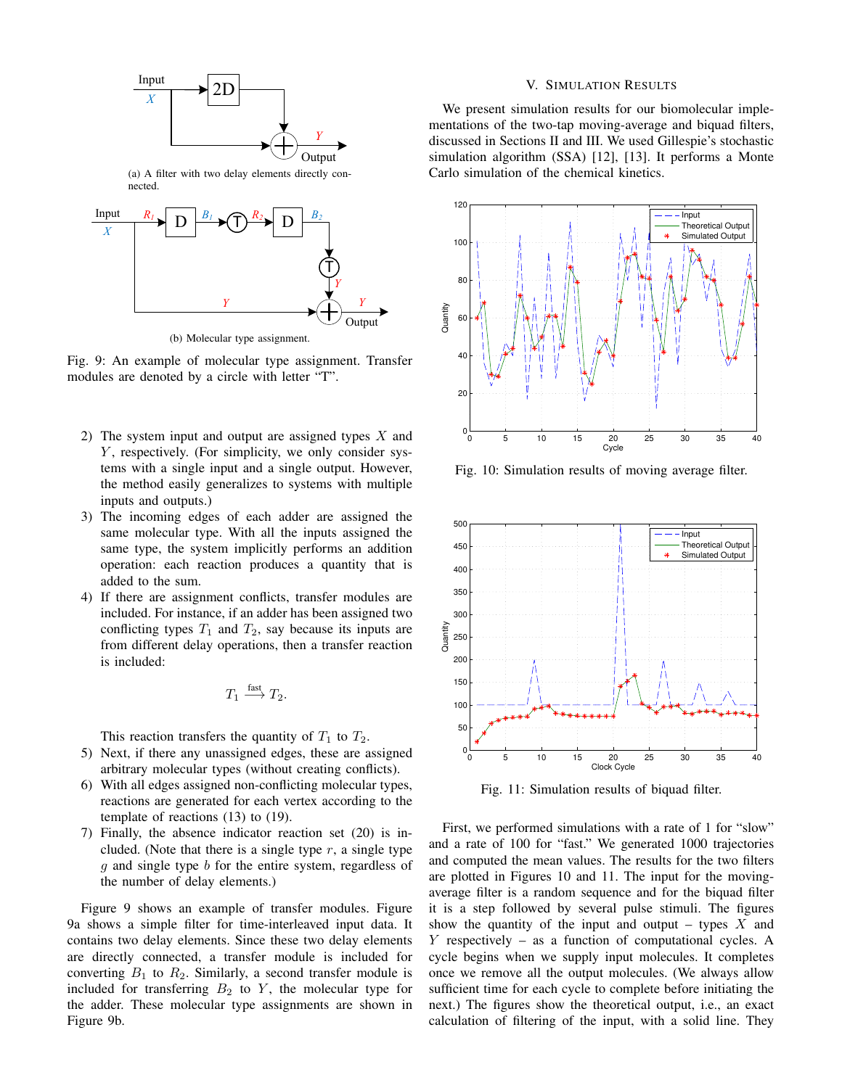

Fig. 9: An example of molecular type assignment. Transfer modules are denoted by a circle with letter "T".

- 2) The system input and output are assigned types  $X$  and  $Y$ , respectively. (For simplicity, we only consider systems with a single input and a single output. However, the method easily generalizes to systems with multiple inputs and outputs.)
- 3) The incoming edges of each adder are assigned the same molecular type. With all the inputs assigned the same type, the system implicitly performs an addition operation: each reaction produces a quantity that is added to the sum.
- 4) If there are assignment conflicts, transfer modules are included. For instance, if an adder has been assigned two conflicting types  $T_1$  and  $T_2$ , say because its inputs are from different delay operations, then a transfer reaction is included:

$$
T_1 \xrightarrow{\text{fast}} T_2.
$$

This reaction transfers the quantity of  $T_1$  to  $T_2$ .

- 5) Next, if there any unassigned edges, these are assigned arbitrary molecular types (without creating conflicts).
- 6) With all edges assigned non-conflicting molecular types, reactions are generated for each vertex according to the template of reactions (13) to (19).
- 7) Finally, the absence indicator reaction set (20) is included. (Note that there is a single type  $r$ , a single type g and single type b for the entire system, regardless of the number of delay elements.)

Figure 9 shows an example of transfer modules. Figure 9a shows a simple filter for time-interleaved input data. It contains two delay elements. Since these two delay elements are directly connected, a transfer module is included for converting  $B_1$  to  $R_2$ . Similarly, a second transfer module is included for transferring  $B_2$  to Y, the molecular type for the adder. These molecular type assignments are shown in Figure 9b.

## V. SIMULATION RESULTS

We present simulation results for our biomolecular implementations of the two-tap moving-average and biquad filters, discussed in Sections II and III. We used Gillespie's stochastic simulation algorithm (SSA) [12], [13]. It performs a Monte Carlo simulation of the chemical kinetics.



Fig. 10: Simulation results of moving average filter.



Fig. 11: Simulation results of biquad filter.

First, we performed simulations with a rate of 1 for "slow" and a rate of 100 for "fast." We generated 1000 trajectories and computed the mean values. The results for the two filters are plotted in Figures 10 and 11. The input for the movingaverage filter is a random sequence and for the biquad filter it is a step followed by several pulse stimuli. The figures show the quantity of the input and output – types  $X$  and  $Y$  respectively – as a function of computational cycles. A cycle begins when we supply input molecules. It completes once we remove all the output molecules. (We always allow sufficient time for each cycle to complete before initiating the next.) The figures show the theoretical output, i.e., an exact calculation of filtering of the input, with a solid line. They